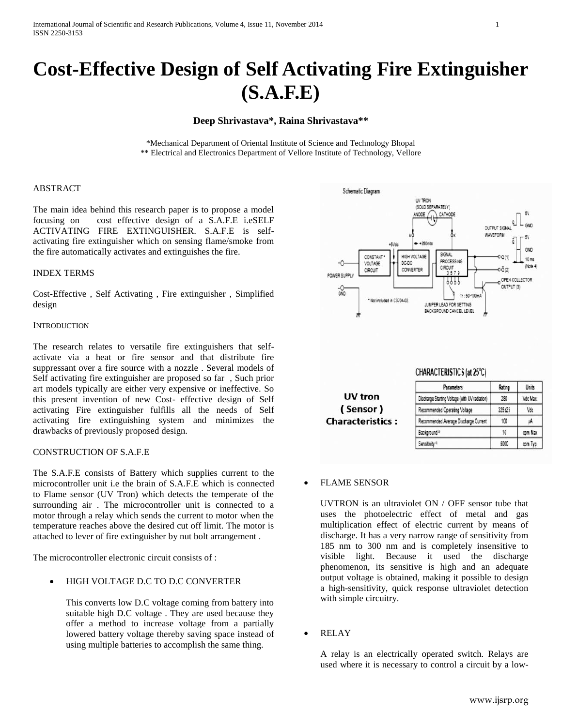# **Cost-Effective Design of Self Activating Fire Extinguisher (S.A.F.E)**

# **Deep Shrivastava\*, Raina Shrivastava\*\***

\*Mechanical Department of Oriental Institute of Science and Technology Bhopal \*\* Electrical and Electronics Department of Vellore Institute of Technology, Vellore

#### ABSTRACT

The main idea behind this research paper is to propose a model focusing on cost effective design of a S.A.F.E i.eSELF ACTIVATING FIRE EXTINGUISHER. S.A.F.E is selfactivating fire extinguisher which on sensing flame/smoke from the fire automatically activates and extinguishes the fire.

#### INDEX TERMS

Cost-Effective , Self Activating , Fire extinguisher , Simplified design

#### **INTRODUCTION**

The research relates to versatile fire extinguishers that selfactivate via a heat or fire sensor and that distribute fire suppressant over a fire source with a nozzle . Several models of Self activating fire extinguisher are proposed so far , Such prior art models typically are either very expensive or ineffective. So this present invention of new Cost- effective design of Self activating Fire extinguisher fulfills all the needs of Self activating fire extinguishing system and minimizes the drawbacks of previously proposed design.

#### CONSTRUCTION OF S.A.F.E

The S.A.F.E consists of Battery which supplies current to the microcontroller unit i.e the brain of S.A.F.E which is connected to Flame sensor (UV Tron) which detects the temperate of the surrounding air . The microcontroller unit is connected to a motor through a relay which sends the current to motor when the temperature reaches above the desired cut off limit. The motor is attached to lever of fire extinguisher by nut bolt arrangement .

The microcontroller electronic circuit consists of  $\cdot$ 

## HIGH VOLTAGE D.C TO D.C CONVERTER

This converts low D.C voltage coming from battery into suitable high D.C voltage . They are used because they offer a method to increase voltage from a partially lowered battery voltage thereby saving space instead of using multiple batteries to accomplish the same thing.



| UV tron                 |
|-------------------------|
| (Sensor)                |
| <b>Characteristics:</b> |

| <b>Parameters</b>                              | Rating     | <b>Units</b> |
|------------------------------------------------|------------|--------------|
| Discharge Starting Voltage (with UV radiation) | 280        | Vdc Max      |
| Recommended Operating Voltage                  | $325 + 25$ | Vdc          |
| Recommended Average Discharge Current          | 100        | μA           |
| Background <sup>1</sup>                        | 10         | com Max      |
| Sensitivity <sup>4</sup>                       | 5000       | cpm Typ.     |

CHARACTERISTICS (at 25°C)

#### FLAME SENSOR

UVTRON is an ultraviolet ON / OFF sensor tube that uses the photoelectric effect of metal and gas multiplication effect of electric current by means of discharge. It has a very narrow range of sensitivity from 185 nm to 300 nm and is completely insensitive to visible light. Because it used the discharge phenomenon, its sensitive is high and an adequate output voltage is obtained, making it possible to design a high-sensitivity, quick response ultraviolet detection with simple circuitry.

RELAY

A relay is an electrically operated switch. Relays are used where it is necessary to control a circuit by a low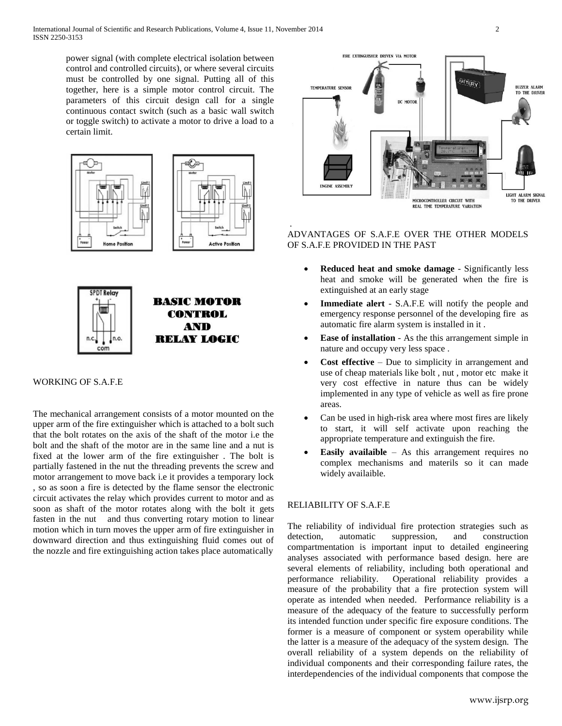power signal (with complete electrical isolation between control and controlled circuits), or where several circuits must be controlled by one signal. Putting all of this together, here is a simple motor control circuit. The parameters of this circuit design call for a single continuous contact switch (such as a basic wall switch or toggle switch) to activate a motor to drive a load to a certain limit.







## WORKING OF S.A.F.E

The mechanical arrangement consists of a motor mounted on the upper arm of the fire extinguisher which is attached to a bolt such that the bolt rotates on the axis of the shaft of the motor i.e the bolt and the shaft of the motor are in the same line and a nut is fixed at the lower arm of the fire extinguisher . The bolt is partially fastened in the nut the threading prevents the screw and motor arrangement to move back i.e it provides a temporary lock , so as soon a fire is detected by the flame sensor the electronic circuit activates the relay which provides current to motor and as soon as shaft of the motor rotates along with the bolt it gets fasten in the nut and thus converting rotary motion to linear motion which in turn moves the upper arm of fire extinguisher in downward direction and thus extinguishing fluid comes out of the nozzle and fire extinguishing action takes place automatically



# . ADVANTAGES OF S.A.F.E OVER THE OTHER MODELS OF S.A.F.E PROVIDED IN THE PAST

- **Reduced heat and smoke damage** Significantly less heat and smoke will be generated when the fire is extinguished at an early stage
- **Immediate alert** S.A.F.E will notify the people and emergency response personnel of the developing fire as automatic fire alarm system is installed in it .
- **Ease of installation** As the this arrangement simple in nature and occupy very less space .
- **Cost effective** Due to simplicity in arrangement and use of cheap materials like bolt , nut , motor etc make it very cost effective in nature thus can be widely implemented in any type of vehicle as well as fire prone areas.
- Can be used in high-risk area where most fires are likely to start, it will self activate upon reaching the appropriate temperature and extinguish the fire.
- **Easily availaible** As this arrangement requires no complex mechanisms and materils so it can made widely availaible.

# RELIABILITY OF S.A.F.E

The reliability of individual fire protection strategies such as detection, automatic suppression, and construction compartmentation is important input to detailed engineering analyses associated with performance based design. here are several elements of reliability, including both operational and performance reliability. Operational reliability provides a measure of the probability that a fire protection system will operate as intended when needed. Performance reliability is a measure of the adequacy of the feature to successfully perform its intended function under specific fire exposure conditions. The former is a measure of component or system operability while the latter is a measure of the adequacy of the system design. The overall reliability of a system depends on the reliability of individual components and their corresponding failure rates, the interdependencies of the individual components that compose the